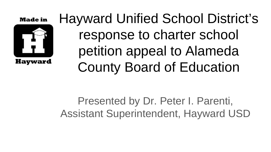#### **Made in**



Hayward Unified School District's response to charter school petition appeal to Alameda County Board of Education

Presented by Dr. Peter I. Parenti, Assistant Superintendent, Hayward USD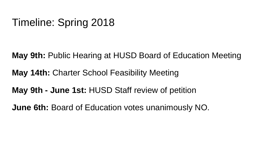### Timeline: Spring 2018

**May 9th:** Public Hearing at HUSD Board of Education Meeting

**May 14th:** Charter School Feasibility Meeting

**May 9th - June 1st:** HUSD Staff review of petition

**June 6th:** Board of Education votes unanimously NO.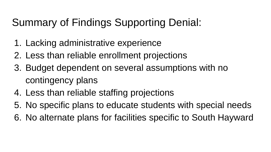## Summary of Findings Supporting Denial:

- 1. Lacking administrative experience
- 2. Less than reliable enrollment projections
- 3. Budget dependent on several assumptions with no contingency plans
- 4. Less than reliable staffing projections
- 5. No specific plans to educate students with special needs
- 6. No alternate plans for facilities specific to South Hayward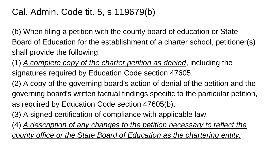#### Cal. Admin. Code tit. 5, s 119679(b)

(b) When filing a petition with the county board of education or State Board of Education for the establishment of a charter school, petitioner(s) shall provide the following:

(1) *A complete copy of the charter petition as denied*, including the signatures required by Education Code section 47605.

(2) A copy of the governing board's action of denial of the petition and the governing board's written factual findings specific to the particular petition, as required by Education Code section 47605(b).

(3) A signed certification of compliance with applicable law.

(4) *A description of any changes to the petition necessary to reflect the county office or the State Board of Education as the chartering entity.*